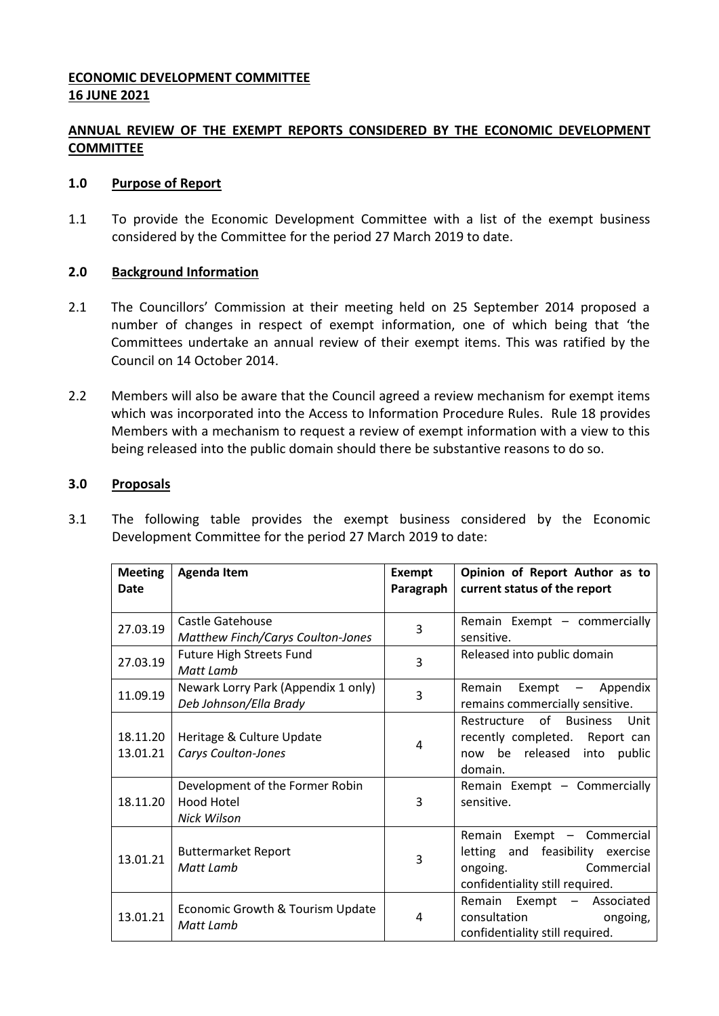## **ECONOMIC DEVELOPMENT COMMITTEE 16 JUNE 2021**

# **ANNUAL REVIEW OF THE EXEMPT REPORTS CONSIDERED BY THE ECONOMIC DEVELOPMENT COMMITTEE**

### **1.0 Purpose of Report**

1.1 To provide the Economic Development Committee with a list of the exempt business considered by the Committee for the period 27 March 2019 to date.

## **2.0 Background Information**

- 2.1 The Councillors' Commission at their meeting held on 25 September 2014 proposed a number of changes in respect of exempt information, one of which being that 'the Committees undertake an annual review of their exempt items. This was ratified by the Council on 14 October 2014.
- 2.2 Members will also be aware that the Council agreed a review mechanism for exempt items which was incorporated into the Access to Information Procedure Rules. Rule 18 provides Members with a mechanism to request a review of exempt information with a view to this being released into the public domain should there be substantive reasons to do so.

### **3.0 Proposals**

3.1 The following table provides the exempt business considered by the Economic Development Committee for the period 27 March 2019 to date:

| <b>Meeting</b><br>Date | <b>Agenda Item</b>                                            | <b>Exempt</b><br>Paragraph | Opinion of Report Author as to<br>current status of the report                                                              |
|------------------------|---------------------------------------------------------------|----------------------------|-----------------------------------------------------------------------------------------------------------------------------|
|                        |                                                               |                            |                                                                                                                             |
| 27.03.19               | Castle Gatehouse<br><b>Matthew Finch/Carys Coulton-Jones</b>  | 3                          | Remain Exempt - commercially<br>sensitive.                                                                                  |
| 27.03.19               | Future High Streets Fund<br>Matt Lamb                         | 3                          | Released into public domain                                                                                                 |
| 11.09.19               | Newark Lorry Park (Appendix 1 only)<br>Deb Johnson/Ella Brady | 3                          | Remain<br>Exempt $-$<br>Appendix<br>remains commercially sensitive.                                                         |
| 18.11.20<br>13.01.21   | Heritage & Culture Update<br>Carys Coulton-Jones              | 4                          | of Business<br>Restructure<br>Unit<br>recently completed. Report can<br>now be released into public<br>domain.              |
| 18.11.20               | Development of the Former Robin<br>Hood Hotel<br>Nick Wilson  | 3                          | Remain Exempt - Commercially<br>sensitive.                                                                                  |
| 13.01.21               | <b>Buttermarket Report</b><br>Matt Lamb                       | 3                          | Remain Exempt - Commercial<br>letting and feasibility exercise<br>Commercial<br>ongoing.<br>confidentiality still required. |
| 13.01.21               | Economic Growth & Tourism Update<br>Matt Lamb                 | 4                          | Remain Exempt - Associated<br>consultation<br>ongoing,<br>confidentiality still required.                                   |